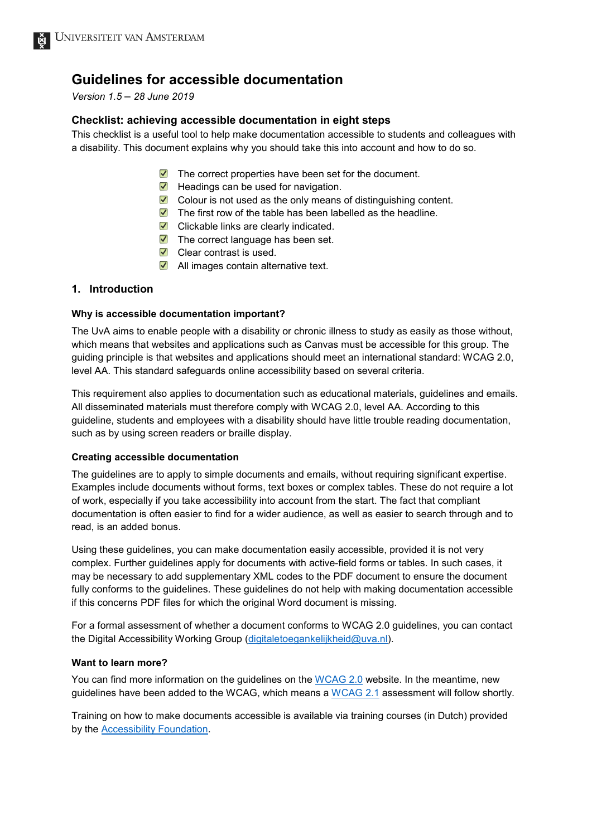# **Guidelines for accessible documentation**

## *Version 1.5* – *28 June 2019*

## **Checklist: achieving accessible documentation in eight steps**

This checklist is a useful tool to help make documentation accessible to students and colleagues with a disability. This document explains why you should take this into account and how to do so.

- $\blacktriangleright$  The correct properties have been set for the document.
- $\blacktriangleright$  Headings can be used for navigation.
- ▼ Colour is not used as the only means of distinguishing content.
- $\triangledown$  The first row of the table has been labelled as the headline.
- $\blacktriangleright$  Clickable links are clearly indicated.
- $\blacktriangledown$  The correct language has been set.
- $\triangledown$  Clear contrast is used.
- $\blacktriangleright$  All images contain alternative text.

## **1. Introduction**

#### **Why is accessible documentation important?**

The UvA aims to enable people with a disability or chronic illness to study as easily as those without, which means that websites and applications such as Canvas must be accessible for this group. The guiding principle is that websites and applications should meet an international standard: WCAG 2.0, level AA. This standard safeguards online accessibility based on several criteria.

This requirement also applies to documentation such as educational materials, guidelines and emails. All disseminated materials must therefore comply with WCAG 2.0, level AA. According to this guideline, students and employees with a disability should have little trouble reading documentation, such as by using screen readers or braille display.

#### **Creating accessible documentation**

The guidelines are to apply to simple documents and emails, without requiring significant expertise. Examples include documents without forms, text boxes or complex tables. These do not require a lot of work, especially if you take accessibility into account from the start. The fact that compliant documentation is often easier to find for a wider audience, as well as easier to search through and to read, is an added bonus.

Using these guidelines, you can make documentation easily accessible, provided it is not very complex. Further guidelines apply for documents with active-field forms or tables. In such cases, it may be necessary to add supplementary XML codes to the PDF document to ensure the document fully conforms to the guidelines. These guidelines do not help with making documentation accessible if this concerns PDF files for which the original Word document is missing.

For a formal assessment of whether a document conforms to WCAG 2.0 guidelines, you can contact the Digital Accessibility Working Group [\(digitaletoegankelijkheid@uva.nl\)](mailto:digitaletoegankelijkheid@uva.nl).

#### **Want to learn more?**

You can find more information on the guidelines on the [WCAG 2.0](https://www.w3.org/TR/WCAG20/) website. In the meantime, new guidelines have been added to the WCAG, which means a [WCAG 2.1](https://www.w3.org/TR/WCAG21/) assessment will follow shortly.

Training on how to make documents accessible is available via training courses (in Dutch) provided by the [Accessibility Foundation.](https://www.accessibility.nl/english)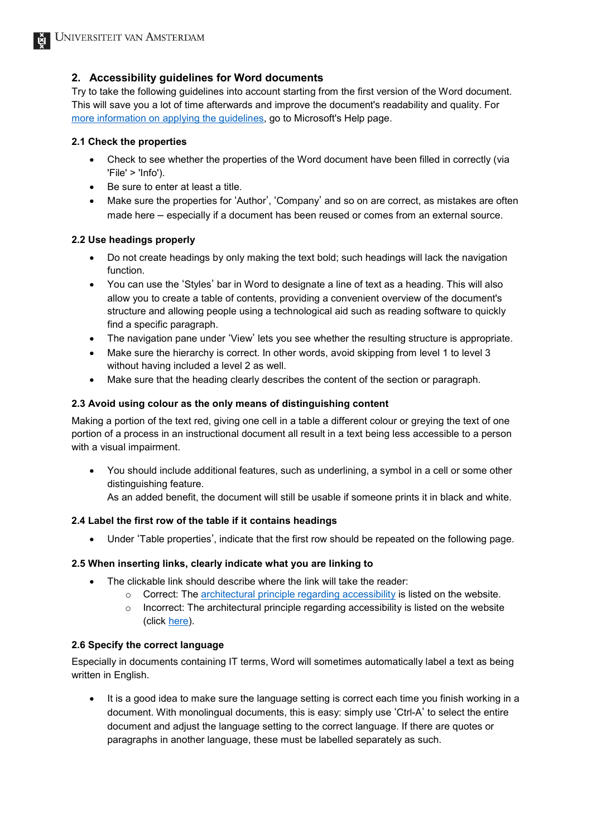# **2. Accessibility guidelines for Word documents**

Try to take the following guidelines into account starting from the first version of the Word document. This will save you a lot of time afterwards and improve the document's readability and quality. For [more information on applying the guidelines,](https://support.office.com/en-us/article/make-your-word-documents-accessible-to-people-with-disabilities-d9bf3683-87ac-47ea-b91a-78dcacb3c66d?ui=en-US&rs=en-US&ad=US) go to Microsoft's Help page.

#### **2.1 Check the properties**

- Check to see whether the properties of the Word document have been filled in correctly (via 'File' > 'Info').
- Be sure to enter at least a title.
- Make sure the properties for 'Author', 'Company' and so on are correct, as mistakes are often made here – especially if a document has been reused or comes from an external source.

## **2.2 Use headings properly**

- Do not create headings by only making the text bold; such headings will lack the navigation function.
- You can use the 'Styles' bar in Word to designate a line of text as a heading. This will also allow you to create a table of contents, providing a convenient overview of the document's structure and allowing people using a technological aid such as reading software to quickly find a specific paragraph.
- The navigation pane under 'View' lets you see whether the resulting structure is appropriate.
- Make sure the hierarchy is correct. In other words, avoid skipping from level 1 to level 3 without having included a level 2 as well.
- Make sure that the heading clearly describes the content of the section or paragraph.

#### **2.3 Avoid using colour as the only means of distinguishing content**

Making a portion of the text red, giving one cell in a table a different colour or greying the text of one portion of a process in an instructional document all result in a text being less accessible to a person with a visual impairment.

• You should include additional features, such as underlining, a symbol in a cell or some other distinguishing feature.

As an added benefit, the document will still be usable if someone prints it in black and white.

## **2.4 Label the first row of the table if it contains headings**

• Under 'Table properties', indicate that the first row should be repeated on the following page.

## **2.5 When inserting links, clearly indicate what you are linking to**

- The clickable link should describe where the link will take the reader:
	- $\circ$  Correct: The [architectural principle regarding accessibility](https://iv.hva.nl/IV%20documenten/architectuurrichtlijn%20Informatievoorzieningen%20zijn%20toegankelijk%20voor%20personen%20met%20een%20functiebeperking.docx?Web=1) is listed on the website.
	- $\circ$  Incorrect: The architectural principle regarding accessibility is listed on the website (click [here\)](https://iv.hva.nl/IV%20documenten/architectuurrichtlijn%20Informatievoorzieningen%20zijn%20toegankelijk%20voor%20personen%20met%20een%20functiebeperking.docx?Web=1).

## **2.6 Specify the correct language**

Especially in documents containing IT terms, Word will sometimes automatically label a text as being written in English.

It is a good idea to make sure the language setting is correct each time you finish working in a document. With monolingual documents, this is easy: simply use 'Ctrl-A' to select the entire document and adjust the language setting to the correct language. If there are quotes or paragraphs in another language, these must be labelled separately as such.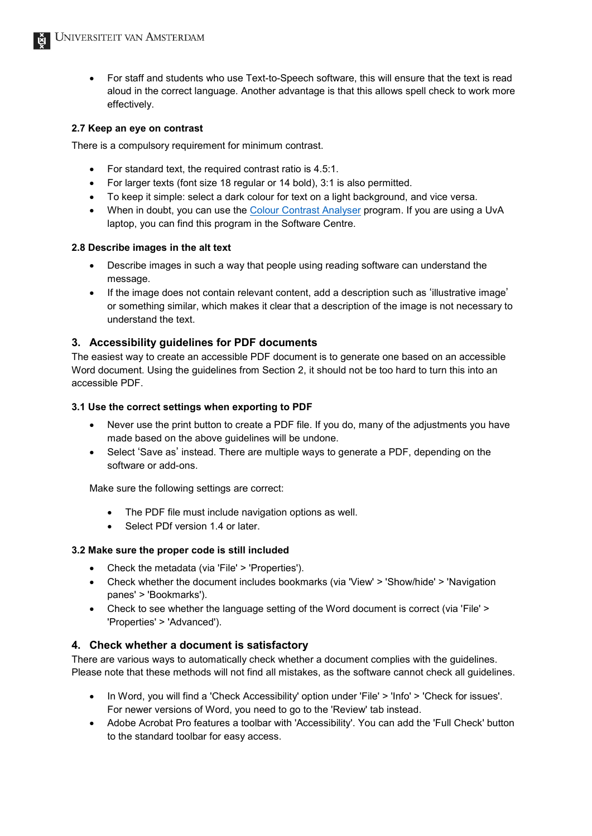• For staff and students who use Text-to-Speech software, this will ensure that the text is read aloud in the correct language. Another advantage is that this allows spell check to work more effectively.

#### **2.7 Keep an eye on contrast**

There is a compulsory requirement for minimum contrast.

- For standard text, the required contrast ratio is 4.5:1.
- For larger texts (font size 18 regular or 14 bold), 3:1 is also permitted.
- To keep it simple: select a dark colour for text on a light background, and vice versa.
- When in doubt, you can use the [Colour Contrast Analyser](https://developer.paciellogroup.com/resources/contrastanalyser/) program. If you are using a UvA laptop, you can find this program in the Software Centre.

#### **2.8 Describe images in the alt text**

- Describe images in such a way that people using reading software can understand the message.
- If the image does not contain relevant content, add a description such as 'illustrative image' or something similar, which makes it clear that a description of the image is not necessary to understand the text.

## **3. Accessibility guidelines for PDF documents**

The easiest way to create an accessible PDF document is to generate one based on an accessible Word document. Using the guidelines from Section 2, it should not be too hard to turn this into an accessible PDF.

#### **3.1 Use the correct settings when exporting to PDF**

- Never use the print button to create a PDF file. If you do, many of the adjustments you have made based on the above guidelines will be undone.
- Select 'Save as' instead. There are multiple ways to generate a PDF, depending on the software or add-ons.

Make sure the following settings are correct:

- The PDF file must include navigation options as well.
- Select PDf version 1.4 or later.

#### **3.2 Make sure the proper code is still included**

- Check the metadata (via 'File' > 'Properties').
- Check whether the document includes bookmarks (via 'View' > 'Show/hide' > 'Navigation panes' > 'Bookmarks').
- Check to see whether the language setting of the Word document is correct (via 'File' > 'Properties' > 'Advanced').

## **4. Check whether a document is satisfactory**

There are various ways to automatically check whether a document complies with the guidelines. Please note that these methods will not find all mistakes, as the software cannot check all guidelines.

- In Word, you will find a 'Check Accessibility' option under 'File' > 'Info' > 'Check for issues'. For newer versions of Word, you need to go to the 'Review' tab instead.
- Adobe Acrobat Pro features a toolbar with 'Accessibility'. You can add the 'Full Check' button to the standard toolbar for easy access.